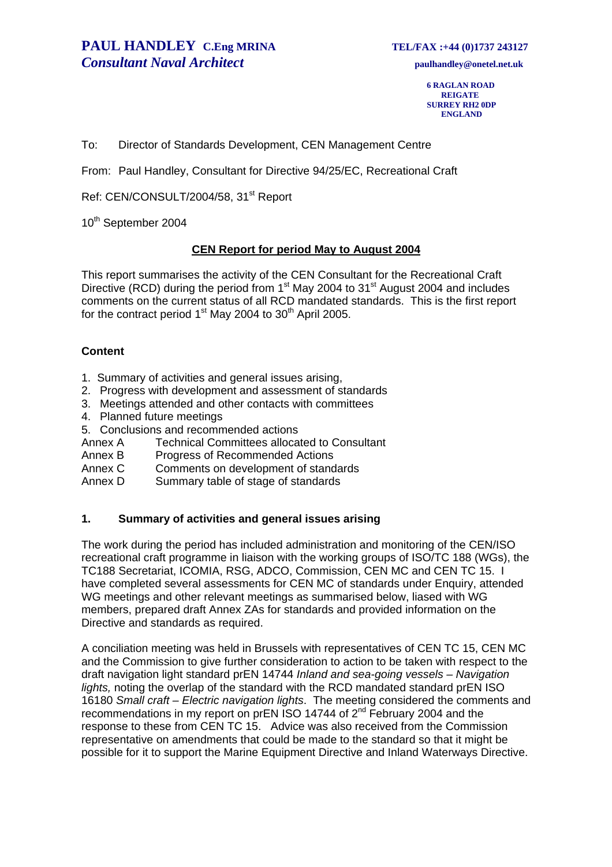**6 RAGLAN ROAD REIGATE SURREY RH2 0DP ENGLAND** 

To: Director of Standards Development, CEN Management Centre

From: Paul Handley, Consultant for Directive 94/25/EC, Recreational Craft

Ref: CEN/CONSULT/2004/58, 31<sup>st</sup> Report

10<sup>th</sup> September 2004

#### **CEN Report for period May to August 2004**

This report summarises the activity of the CEN Consultant for the Recreational Craft Directive (RCD) during the period from  $1<sup>st</sup>$  May 2004 to 31 $<sup>st</sup>$  August 2004 and includes</sup> comments on the current status of all RCD mandated standards. This is the first report for the contract period  $1<sup>st</sup>$  May 2004 to 30<sup>th</sup> April 2005.

#### **Content**

- 1. Summary of activities and general issues arising,
- 2. Progress with development and assessment of standards
- 3. Meetings attended and other contacts with committees
- 4. Planned future meetings
- 5. Conclusions and recommended actions
- Annex A Technical Committees allocated to Consultant
- Annex B Progress of Recommended Actions
- Annex C Comments on development of standards
- Annex D Summary table of stage of standards

### **1. Summary of activities and general issues arising**

The work during the period has included administration and monitoring of the CEN/ISO recreational craft programme in liaison with the working groups of ISO/TC 188 (WGs), the TC188 Secretariat, ICOMIA, RSG, ADCO, Commission, CEN MC and CEN TC 15. I have completed several assessments for CEN MC of standards under Enquiry, attended WG meetings and other relevant meetings as summarised below, liased with WG members, prepared draft Annex ZAs for standards and provided information on the Directive and standards as required.

A conciliation meeting was held in Brussels with representatives of CEN TC 15, CEN MC and the Commission to give further consideration to action to be taken with respect to the draft navigation light standard prEN 14744 *Inland and sea-going vessels – Navigation lights,* noting the overlap of the standard with the RCD mandated standard prEN ISO 16180 *Small craft – Electric navigation lights*. The meeting considered the comments and recommendations in my report on prEN ISO 14744 of 2<sup>nd</sup> February 2004 and the response to these from CEN TC 15. Advice was also received from the Commission representative on amendments that could be made to the standard so that it might be possible for it to support the Marine Equipment Directive and Inland Waterways Directive.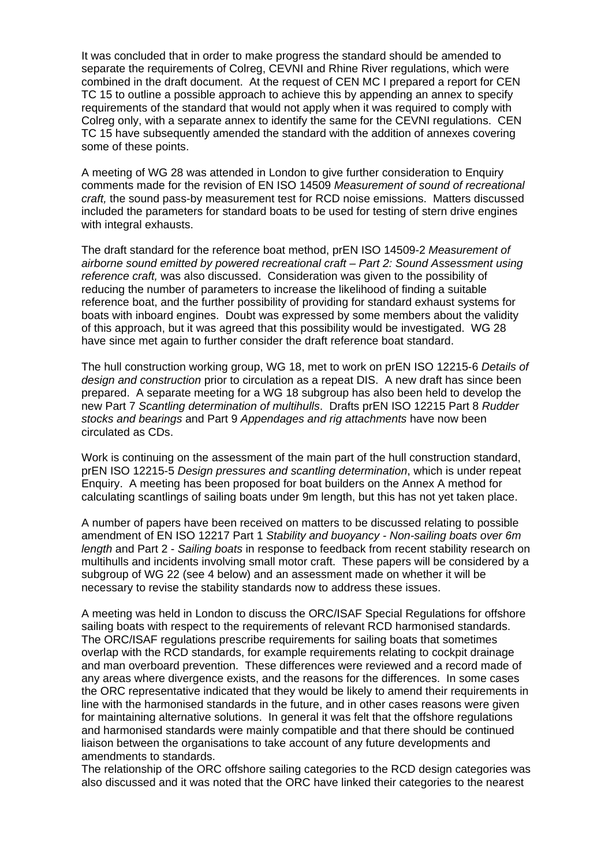It was concluded that in order to make progress the standard should be amended to separate the requirements of Colreg, CEVNI and Rhine River regulations, which were combined in the draft document. At the request of CEN MC I prepared a report for CEN TC 15 to outline a possible approach to achieve this by appending an annex to specify requirements of the standard that would not apply when it was required to comply with Colreg only, with a separate annex to identify the same for the CEVNI regulations. CEN TC 15 have subsequently amended the standard with the addition of annexes covering some of these points.

A meeting of WG 28 was attended in London to give further consideration to Enquiry comments made for the revision of EN ISO 14509 *Measurement of sound of recreational craft,* the sound pass-by measurement test for RCD noise emissions. Matters discussed included the parameters for standard boats to be used for testing of stern drive engines with integral exhausts.

The draft standard for the reference boat method, prEN ISO 14509-2 *Measurement of airborne sound emitted by powered recreational craft – Part 2: Sound Assessment using reference craft,* was also discussed. Consideration was given to the possibility of reducing the number of parameters to increase the likelihood of finding a suitable reference boat, and the further possibility of providing for standard exhaust systems for boats with inboard engines. Doubt was expressed by some members about the validity of this approach, but it was agreed that this possibility would be investigated. WG 28 have since met again to further consider the draft reference boat standard.

The hull construction working group, WG 18, met to work on prEN ISO 12215-6 *Details of design and construction* prior to circulation as a repeat DIS. A new draft has since been prepared. A separate meeting for a WG 18 subgroup has also been held to develop the new Part 7 *Scantling determination of multihulls*. Drafts prEN ISO 12215 Part 8 *Rudder stocks and bearings* and Part 9 *Appendages and rig attachments* have now been circulated as CDs.

Work is continuing on the assessment of the main part of the hull construction standard, prEN ISO 12215-5 *Design pressures and scantling determination*, which is under repeat Enquiry. A meeting has been proposed for boat builders on the Annex A method for calculating scantlings of sailing boats under 9m length, but this has not yet taken place.

A number of papers have been received on matters to be discussed relating to possible amendment of EN ISO 12217 Part 1 *Stability and buoyancy - Non-sailing boats over 6m length* and Part 2 - *Sailing boats* in response to feedback from recent stability research on multihulls and incidents involving small motor craft. These papers will be considered by a subgroup of WG 22 (see 4 below) and an assessment made on whether it will be necessary to revise the stability standards now to address these issues.

A meeting was held in London to discuss the ORC/ISAF Special Regulations for offshore sailing boats with respect to the requirements of relevant RCD harmonised standards. The ORC/ISAF regulations prescribe requirements for sailing boats that sometimes overlap with the RCD standards, for example requirements relating to cockpit drainage and man overboard prevention. These differences were reviewed and a record made of any areas where divergence exists, and the reasons for the differences. In some cases the ORC representative indicated that they would be likely to amend their requirements in line with the harmonised standards in the future, and in other cases reasons were given for maintaining alternative solutions. In general it was felt that the offshore regulations and harmonised standards were mainly compatible and that there should be continued liaison between the organisations to take account of any future developments and amendments to standards.

The relationship of the ORC offshore sailing categories to the RCD design categories was also discussed and it was noted that the ORC have linked their categories to the nearest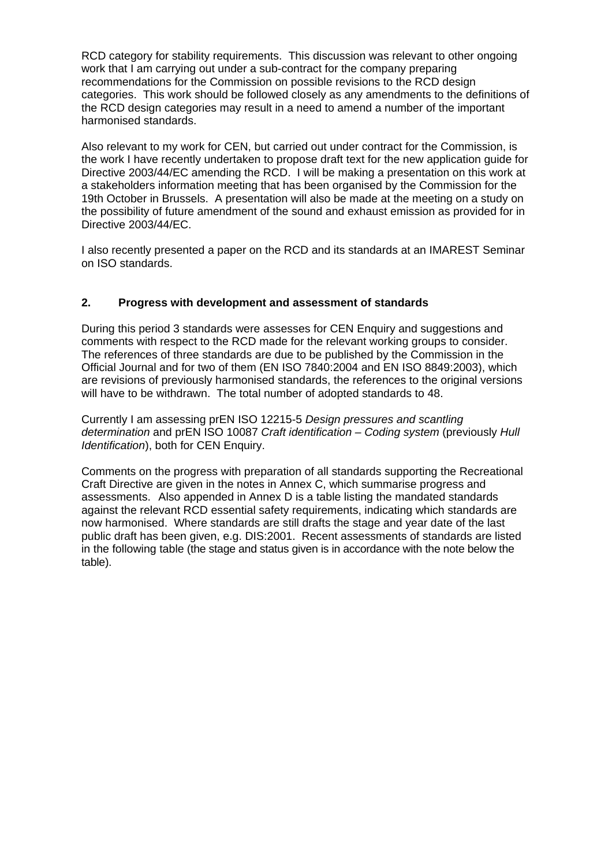RCD category for stability requirements. This discussion was relevant to other ongoing work that I am carrying out under a sub-contract for the company preparing recommendations for the Commission on possible revisions to the RCD design categories. This work should be followed closely as any amendments to the definitions of the RCD design categories may result in a need to amend a number of the important harmonised standards.

Also relevant to my work for CEN, but carried out under contract for the Commission, is the work I have recently undertaken to propose draft text for the new application guide for Directive 2003/44/EC amending the RCD. I will be making a presentation on this work at a stakeholders information meeting that has been organised by the Commission for the 19th October in Brussels. A presentation will also be made at the meeting on a study on the possibility of future amendment of the sound and exhaust emission as provided for in Directive 2003/44/EC.

I also recently presented a paper on the RCD and its standards at an IMAREST Seminar on ISO standards.

### **2. Progress with development and assessment of standards**

During this period 3 standards were assesses for CEN Enquiry and suggestions and comments with respect to the RCD made for the relevant working groups to consider. The references of three standards are due to be published by the Commission in the Official Journal and for two of them (EN ISO 7840:2004 and EN ISO 8849:2003), which are revisions of previously harmonised standards, the references to the original versions will have to be withdrawn. The total number of adopted standards to 48.

Currently I am assessing prEN ISO 12215-5 *Design pressures and scantling determination* and prEN ISO 10087 *Craft identification – Coding system* (previously *Hull Identification*), both for CEN Enquiry.

Comments on the progress with preparation of all standards supporting the Recreational Craft Directive are given in the notes in Annex C, which summarise progress and assessments. Also appended in Annex D is a table listing the mandated standards against the relevant RCD essential safety requirements, indicating which standards are now harmonised. Where standards are still drafts the stage and year date of the last public draft has been given, e.g. DIS:2001. Recent assessments of standards are listed in the following table (the stage and status given is in accordance with the note below the table).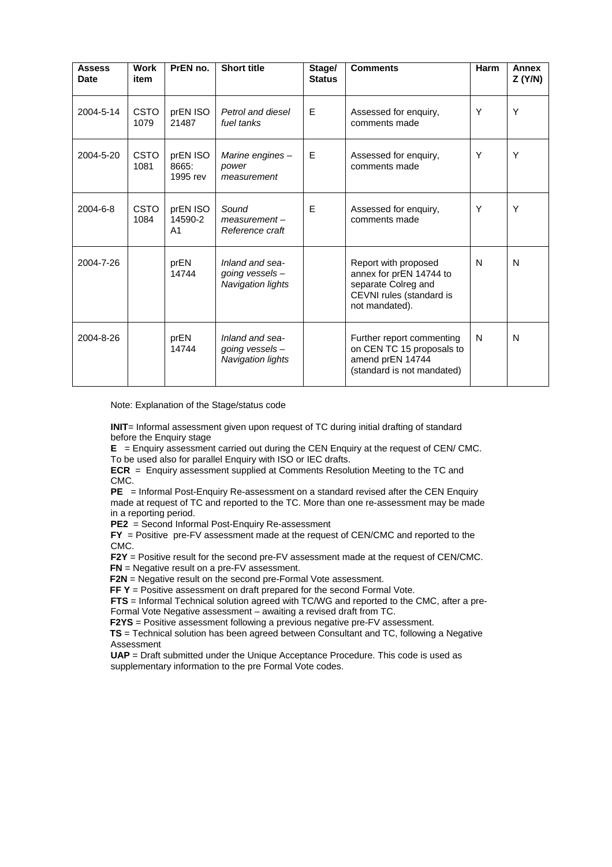| <b>Assess</b><br>Date | <b>Work</b><br>item | PrEN no.                              | <b>Short title</b>                                             | Stage/<br><b>Status</b>                     | <b>Comments</b>                                                                                                      | Harm | Annex<br>Z(Y/N) |
|-----------------------|---------------------|---------------------------------------|----------------------------------------------------------------|---------------------------------------------|----------------------------------------------------------------------------------------------------------------------|------|-----------------|
| 2004-5-14             | <b>CSTO</b><br>1079 | prEN ISO<br>21487                     | Petrol and diesel<br>fuel tanks                                | E                                           | Assessed for enquiry,<br>comments made                                                                               | Y    | Y               |
| 2004-5-20             | <b>CSTO</b><br>1081 | prEN ISO<br>8665:<br>1995 rev         | Marine engines -<br>power<br>measurement                       | E<br>Assessed for enquiry,<br>comments made |                                                                                                                      | Υ    | Y               |
| 2004-6-8              | <b>CSTO</b><br>1084 | prEN ISO<br>14590-2<br>A <sub>1</sub> | Sound<br>$measurement -$<br>Reference craft                    | E                                           | Assessed for enquiry,<br>comments made                                                                               | Y    | Υ               |
| 2004-7-26             |                     | prEN<br>14744                         | Inland and sea-<br>going vessels -<br><b>Navigation lights</b> |                                             | Report with proposed<br>annex for prEN 14744 to<br>separate Colreg and<br>CEVNI rules (standard is<br>not mandated). | N    | N               |
| 2004-8-26             |                     | prEN<br>14744                         | Inland and sea-<br>going vessels -<br><b>Navigation lights</b> |                                             | Further report commenting<br>on CEN TC 15 proposals to<br>amend prEN 14744<br>(standard is not mandated)             | N    | N               |

Note: Explanation of the Stage/status code

**INIT**= Informal assessment given upon request of TC during initial drafting of standard before the Enquiry stage

**E** = Enquiry assessment carried out during the CEN Enquiry at the request of CEN/ CMC. To be used also for parallel Enquiry with ISO or IEC drafts.

**ECR** = Enquiry assessment supplied at Comments Resolution Meeting to the TC and CMC.

**PE** = Informal Post-Enquiry Re-assessment on a standard revised after the CEN Enquiry made at request of TC and reported to the TC. More than one re-assessment may be made in a reporting period.

**PE2** = Second Informal Post-Enquiry Re-assessment

**FY** = Positive pre-FV assessment made at the request of CEN/CMC and reported to the CMC.

**F2Y** = Positive result for the second pre-FV assessment made at the request of CEN/CMC. **FN** = Negative result on a pre-FV assessment.

**F2N** = Negative result on the second pre-Formal Vote assessment.

**FF Y** = Positive assessment on draft prepared for the second Formal Vote.

**FTS** = Informal Technical solution agreed with TC/WG and reported to the CMC, after a pre-Formal Vote Negative assessment – awaiting a revised draft from TC.

**F2YS** = Positive assessment following a previous negative pre-FV assessment.

 **TS** = Technical solution has been agreed between Consultant and TC, following a Negative Assessment

**UAP** = Draft submitted under the Unique Acceptance Procedure. This code is used as supplementary information to the pre Formal Vote codes.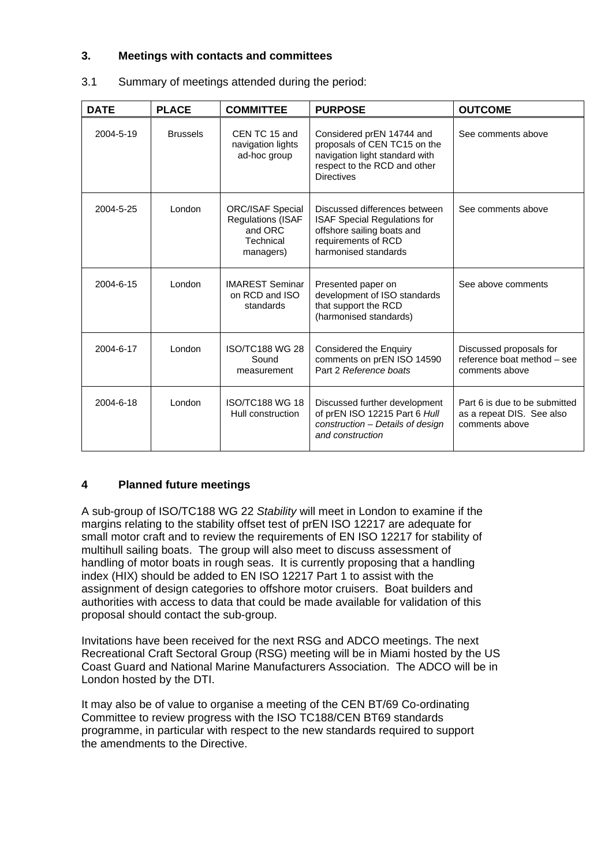### **3. Meetings with contacts and committees**

| <b>DATE</b> | <b>PLACE</b>    | <b>COMMITTEE</b>                                                                         | <b>PURPOSE</b>                                                                                                                                    | <b>OUTCOME</b>                                                               |
|-------------|-----------------|------------------------------------------------------------------------------------------|---------------------------------------------------------------------------------------------------------------------------------------------------|------------------------------------------------------------------------------|
| 2004-5-19   | <b>Brussels</b> | CEN TC 15 and<br>navigation lights<br>ad-hoc group                                       | Considered prEN 14744 and<br>proposals of CEN TC15 on the<br>navigation light standard with<br>respect to the RCD and other<br><b>Directives</b>  | See comments above                                                           |
| 2004-5-25   | London          | <b>ORC/ISAF Special</b><br><b>Regulations (ISAF</b><br>and ORC<br>Technical<br>managers) | Discussed differences between<br><b>ISAF Special Regulations for</b><br>offshore sailing boats and<br>requirements of RCD<br>harmonised standards | See comments above                                                           |
| 2004-6-15   | London          | <b>IMAREST Seminar</b><br>on RCD and ISO<br>standards                                    | Presented paper on<br>development of ISO standards<br>that support the RCD<br>(harmonised standards)                                              | See above comments                                                           |
| 2004-6-17   | London          | <b>ISO/TC188 WG 28</b><br>Sound<br>measurement                                           | Considered the Enquiry<br>comments on prEN ISO 14590<br>Part 2 Reference boats                                                                    | Discussed proposals for<br>reference boat method - see<br>comments above     |
| 2004-6-18   | London          | <b>ISO/TC188 WG 18</b><br>Hull construction                                              | Discussed further development<br>of prEN ISO 12215 Part 6 Hull<br>construction - Details of design<br>and construction                            | Part 6 is due to be submitted<br>as a repeat DIS. See also<br>comments above |

### 3.1 Summary of meetings attended during the period:

### **4 Planned future meetings**

A sub-group of ISO/TC188 WG 22 *Stability* will meet in London to examine if the margins relating to the stability offset test of prEN ISO 12217 are adequate for small motor craft and to review the requirements of EN ISO 12217 for stability of multihull sailing boats. The group will also meet to discuss assessment of handling of motor boats in rough seas. It is currently proposing that a handling index (HIX) should be added to EN ISO 12217 Part 1 to assist with the assignment of design categories to offshore motor cruisers. Boat builders and authorities with access to data that could be made available for validation of this proposal should contact the sub-group.

Invitations have been received for the next RSG and ADCO meetings. The next Recreational Craft Sectoral Group (RSG) meeting will be in Miami hosted by the US Coast Guard and National Marine Manufacturers Association. The ADCO will be in London hosted by the DTI.

It may also be of value to organise a meeting of the CEN BT/69 Co-ordinating Committee to review progress with the ISO TC188/CEN BT69 standards programme, in particular with respect to the new standards required to support the amendments to the Directive.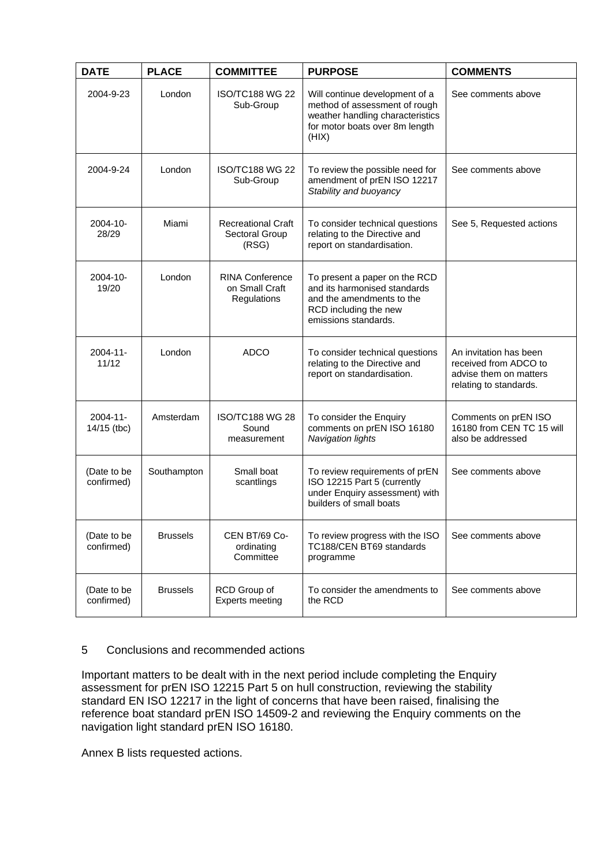| <b>DATE</b>                  | <b>PLACE</b>    | <b>COMMITTEE</b>                                        | <b>PURPOSE</b>                                                                                                                                 | <b>COMMENTS</b>                                                                                     |
|------------------------------|-----------------|---------------------------------------------------------|------------------------------------------------------------------------------------------------------------------------------------------------|-----------------------------------------------------------------------------------------------------|
| 2004-9-23                    | London          | <b>ISO/TC188 WG 22</b><br>Sub-Group                     | Will continue development of a<br>method of assessment of rough<br>weather handling characteristics<br>for motor boats over 8m length<br>(HIX) | See comments above                                                                                  |
| 2004-9-24                    | London          | <b>ISO/TC188 WG 22</b><br>Sub-Group                     | To review the possible need for<br>amendment of prEN ISO 12217<br>Stability and buoyancy                                                       | See comments above                                                                                  |
| $2004 - 10 -$<br>28/29       | Miami           | <b>Recreational Craft</b><br>Sectoral Group<br>(RSG)    | To consider technical questions<br>relating to the Directive and<br>report on standardisation.                                                 | See 5, Requested actions                                                                            |
| $2004 - 10 -$<br>19/20       | London          | <b>RINA Conference</b><br>on Small Craft<br>Regulations | To present a paper on the RCD<br>and its harmonised standards<br>and the amendments to the<br>RCD including the new<br>emissions standards.    |                                                                                                     |
| $2004 - 11 -$<br>11/12       | London          | <b>ADCO</b>                                             | To consider technical questions<br>relating to the Directive and<br>report on standardisation.                                                 | An invitation has been<br>received from ADCO to<br>advise them on matters<br>relating to standards. |
| $2004 - 11 -$<br>14/15 (tbc) | Amsterdam       | <b>ISO/TC188 WG 28</b><br>Sound<br>measurement          | To consider the Enquiry<br>comments on prEN ISO 16180<br><b>Navigation lights</b>                                                              | Comments on prEN ISO<br>16180 from CEN TC 15 will<br>also be addressed                              |
| (Date to be<br>confirmed)    | Southampton     | Small boat<br>scantlings                                | To review requirements of prEN<br>ISO 12215 Part 5 (currently<br>under Enquiry assessment) with<br>builders of small boats                     | See comments above                                                                                  |
| (Date to be<br>confirmed)    | <b>Brussels</b> | CEN BT/69 Co-<br>ordinating<br>Committee                | To review progress with the ISO<br>TC188/CEN BT69 standards<br>programme                                                                       | See comments above                                                                                  |
| (Date to be<br>confirmed)    | <b>Brussels</b> | RCD Group of<br><b>Experts meeting</b>                  | To consider the amendments to<br>the RCD                                                                                                       | See comments above                                                                                  |

### 5 Conclusions and recommended actions

Important matters to be dealt with in the next period include completing the Enquiry assessment for prEN ISO 12215 Part 5 on hull construction, reviewing the stability standard EN ISO 12217 in the light of concerns that have been raised, finalising the reference boat standard prEN ISO 14509-2 and reviewing the Enquiry comments on the navigation light standard prEN ISO 16180.

Annex B lists requested actions.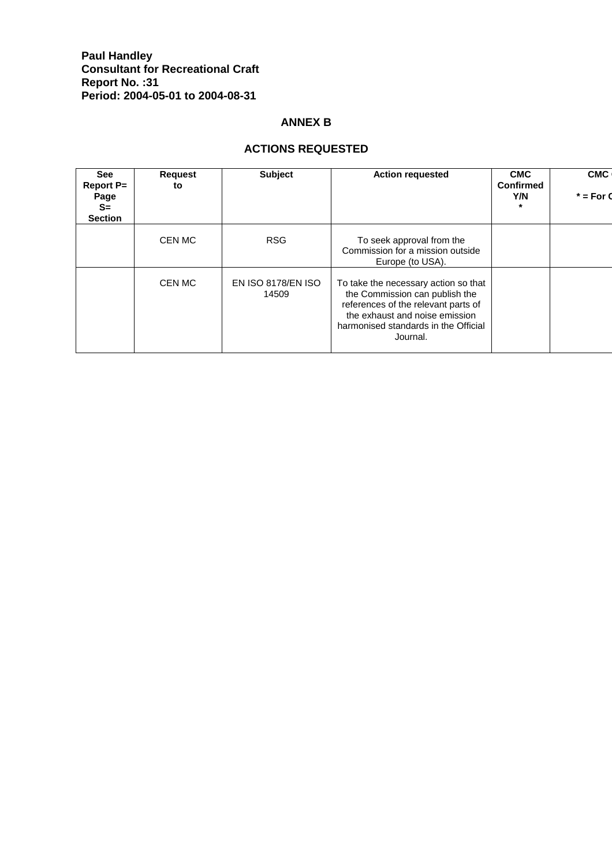### **Paul Handley Consultant for Recreational Craft Report No. :31 Period: 2004-05-01 to 2004-08-31**

### **ANNEX B**

### **ACTIONS REQUESTED**

| <b>See</b><br><b>Report P=</b><br>Page<br>$S=$<br><b>Section</b> | <b>Subject</b><br><b>Action requested</b><br><b>Request</b><br>to |                                                                                                                                                                                                     |                                                                                   | <b>CMC</b><br><b>Confirmed</b><br>Y/N<br>$\star$ | <b>CMC</b><br>$*$ = For 0 |
|------------------------------------------------------------------|-------------------------------------------------------------------|-----------------------------------------------------------------------------------------------------------------------------------------------------------------------------------------------------|-----------------------------------------------------------------------------------|--------------------------------------------------|---------------------------|
|                                                                  | CEN MC                                                            | <b>RSG</b>                                                                                                                                                                                          | To seek approval from the<br>Commission for a mission outside<br>Europe (to USA). |                                                  |                           |
| CEN MC<br>EN ISO 8178/EN ISO<br>14509                            |                                                                   | To take the necessary action so that<br>the Commission can publish the<br>references of the relevant parts of<br>the exhaust and noise emission<br>harmonised standards in the Official<br>Journal. |                                                                                   |                                                  |                           |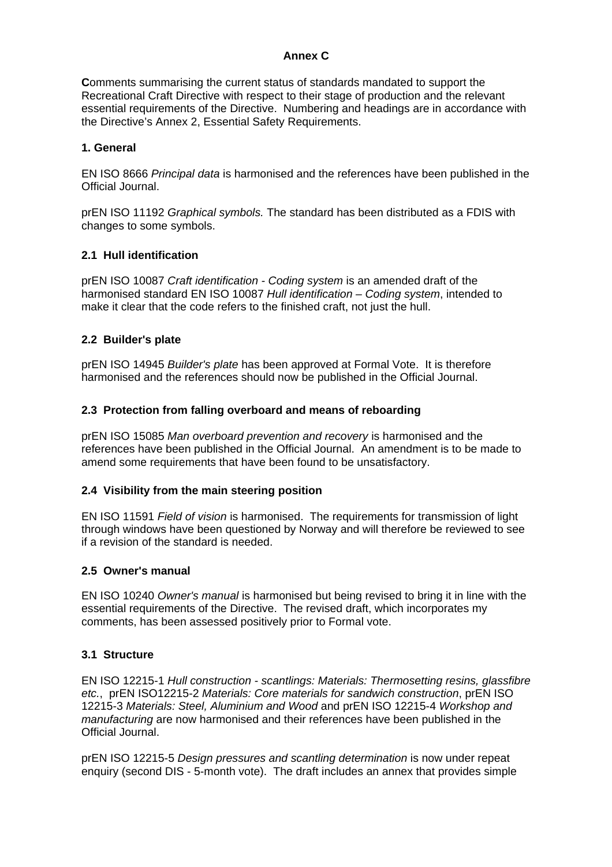### **Annex C**

**C**omments summarising the current status of standards mandated to support the Recreational Craft Directive with respect to their stage of production and the relevant essential requirements of the Directive. Numbering and headings are in accordance with the Directive's Annex 2, Essential Safety Requirements.

### **1. General**

EN ISO 8666 *Principal data* is harmonised and the references have been published in the Official Journal.

prEN ISO 11192 *Graphical symbols.* The standard has been distributed as a FDIS with changes to some symbols.

### **2.1 Hull identification**

prEN ISO 10087 *Craft identification - Coding system* is an amended draft of the harmonised standard EN ISO 10087 *Hull identification – Coding system*, intended to make it clear that the code refers to the finished craft, not just the hull.

### **2.2 Builder's plate**

prEN ISO 14945 *Builder's plate* has been approved at Formal Vote. It is therefore harmonised and the references should now be published in the Official Journal.

### **2.3 Protection from falling overboard and means of reboarding**

prEN ISO 15085 *Man overboard prevention and recovery* is harmonised and the references have been published in the Official Journal. An amendment is to be made to amend some requirements that have been found to be unsatisfactory.

### **2.4 Visibility from the main steering position**

EN ISO 11591 *Field of vision* is harmonised. The requirements for transmission of light through windows have been questioned by Norway and will therefore be reviewed to see if a revision of the standard is needed.

### **2.5 Owner's manual**

EN ISO 10240 *Owner's manual* is harmonised but being revised to bring it in line with the essential requirements of the Directive. The revised draft, which incorporates my comments, has been assessed positively prior to Formal vote.

### **3.1 Structure**

EN ISO 12215-1 *Hull construction - scantlings: Materials: Thermosetting resins, glassfibre etc.*, prEN ISO12215-2 *Materials: Core materials for sandwich construction*, prEN ISO 12215-3 *Materials: Steel, Aluminium and Wood* and prEN ISO 12215-4 *Workshop and manufacturing* are now harmonised and their references have been published in the Official Journal.

prEN ISO 12215-5 *Design pressures and scantling determination* is now under repeat enquiry (second DIS - 5-month vote). The draft includes an annex that provides simple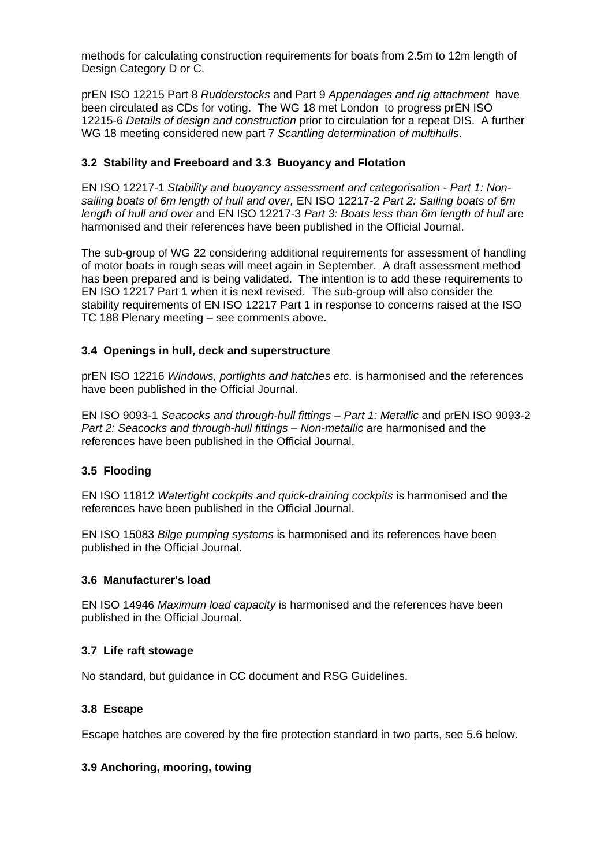methods for calculating construction requirements for boats from 2.5m to 12m length of Design Category D or C.

prEN ISO 12215 Part 8 *Rudderstocks* and Part 9 *Appendages and rig attachment* have been circulated as CDs for voting. The WG 18 met London to progress prEN ISO 12215-6 *Details of design and construction* prior to circulation for a repeat DIS. A further WG 18 meeting considered new part 7 *Scantling determination of multihulls*.

### **3.2 Stability and Freeboard and 3.3 Buoyancy and Flotation**

EN ISO 12217-1 *Stability and buoyancy assessment and categorisation - Part 1: Nonsailing boats of 6m length of hull and over,* EN ISO 12217-2 *Part 2: Sailing boats of 6m length of hull and over* and EN ISO 12217-3 *Part 3: Boats less than 6m length of hull* are harmonised and their references have been published in the Official Journal.

The sub-group of WG 22 considering additional requirements for assessment of handling of motor boats in rough seas will meet again in September. A draft assessment method has been prepared and is being validated. The intention is to add these requirements to EN ISO 12217 Part 1 when it is next revised. The sub-group will also consider the stability requirements of EN ISO 12217 Part 1 in response to concerns raised at the ISO TC 188 Plenary meeting – see comments above.

### **3.4 Openings in hull, deck and superstructure**

prEN ISO 12216 *Windows, portlights and hatches etc*. is harmonised and the references have been published in the Official Journal.

EN ISO 9093-1 *Seacocks and through-hull fittings – Part 1: Metallic* and prEN ISO 9093-2 Part 2: Seacocks and through-hull fittings - Non-metallic are harmonised and the references have been published in the Official Journal.

### **3.5 Flooding**

EN ISO 11812 *Watertight cockpits and quick-draining cockpits* is harmonised and the references have been published in the Official Journal.

EN ISO 15083 *Bilge pumping systems* is harmonised and its references have been published in the Official Journal.

#### **3.6 Manufacturer's load**

EN ISO 14946 *Maximum load capacity* is harmonised and the references have been published in the Official Journal.

#### **3.7 Life raft stowage**

No standard, but guidance in CC document and RSG Guidelines.

#### **3.8 Escape**

Escape hatches are covered by the fire protection standard in two parts, see 5.6 below.

#### **3.9 Anchoring, mooring, towing**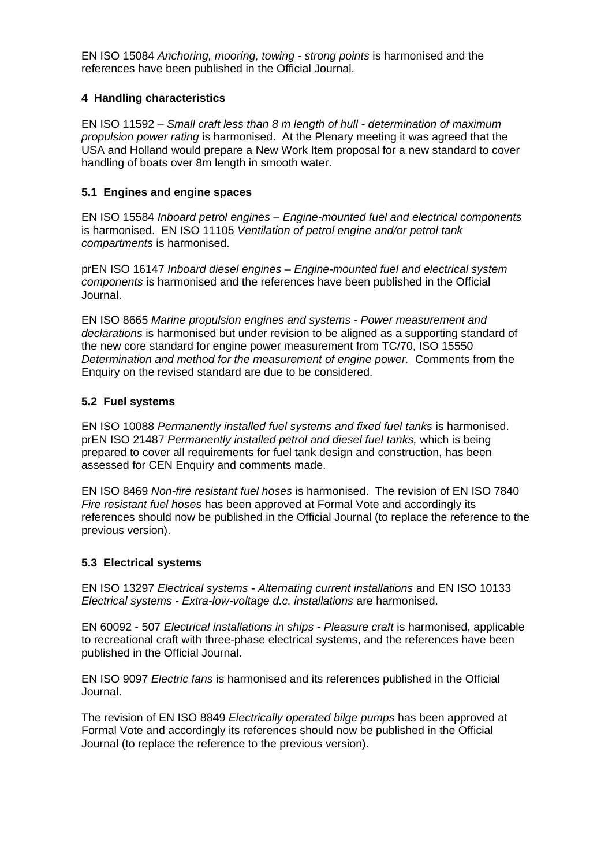EN ISO 15084 *Anchoring, mooring, towing - strong points* is harmonised and the references have been published in the Official Journal.

### **4 Handling characteristics**

EN ISO 11592 – *Small craft less than 8 m length of hull - determination of maximum propulsion power rating* is harmonised. At the Plenary meeting it was agreed that the USA and Holland would prepare a New Work Item proposal for a new standard to cover handling of boats over 8m length in smooth water.

### **5.1 Engines and engine spaces**

EN ISO 15584 *Inboard petrol engines – Engine-mounted fuel and electrical components* is harmonised. EN ISO 11105 *Ventilation of petrol engine and/or petrol tank compartments* is harmonised.

prEN ISO 16147 *Inboard diesel engines – Engine-mounted fuel and electrical system components* is harmonised and the references have been published in the Official Journal.

EN ISO 8665 *Marine propulsion engines and systems - Power measurement and declarations* is harmonised but under revision to be aligned as a supporting standard of the new core standard for engine power measurement from TC/70, ISO 15550 *Determination and method for the measurement of engine power.* Comments from the Enquiry on the revised standard are due to be considered.

### **5.2 Fuel systems**

EN ISO 10088 *Permanently installed fuel systems and fixed fuel tanks* is harmonised. prEN ISO 21487 *Permanently installed petrol and diesel fuel tanks,* which is being prepared to cover all requirements for fuel tank design and construction, has been assessed for CEN Enquiry and comments made.

EN ISO 8469 *Non-fire resistant fuel hoses* is harmonised. The revision of EN ISO 7840 *Fire resistant fuel hoses* has been approved at Formal Vote and accordingly its references should now be published in the Official Journal (to replace the reference to the previous version).

### **5.3 Electrical systems**

EN ISO 13297 *Electrical systems - Alternating current installations* and EN ISO 10133 *Electrical systems - Extra-low-voltage d.c. installations* are harmonised.

EN 60092 - 507 *Electrical installations in ships - Pleasure craft* is harmonised, applicable to recreational craft with three-phase electrical systems, and the references have been published in the Official Journal.

EN ISO 9097 *Electric fans* is harmonised and its references published in the Official Journal.

The revision of EN ISO 8849 *Electrically operated bilge pumps* has been approved at Formal Vote and accordingly its references should now be published in the Official Journal (to replace the reference to the previous version).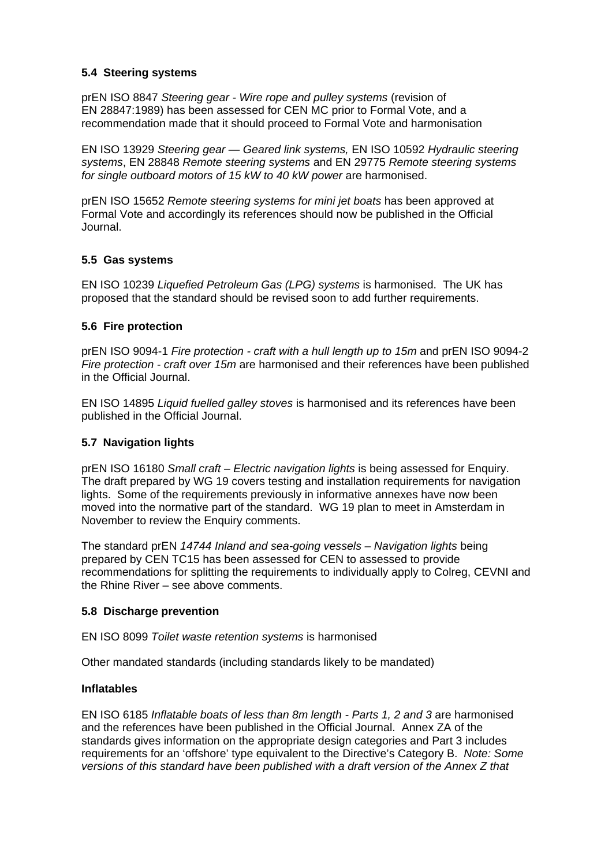### **5.4 Steering systems**

prEN ISO 8847 *Steering gear - Wire rope and pulley systems* (revision of EN 28847:1989) has been assessed for CEN MC prior to Formal Vote, and a recommendation made that it should proceed to Formal Vote and harmonisation

EN ISO 13929 *Steering gear — Geared link systems,* EN ISO 10592 *Hydraulic steering systems*, EN 28848 *Remote steering systems* and EN 29775 *Remote steering systems for single outboard motors of 15 kW to 40 kW power* are harmonised.

prEN ISO 15652 *Remote steering systems for mini jet boats* has been approved at Formal Vote and accordingly its references should now be published in the Official Journal.

### **5.5 Gas systems**

EN ISO 10239 *Liquefied Petroleum Gas (LPG) systems* is harmonised. The UK has proposed that the standard should be revised soon to add further requirements.

### **5.6 Fire protection**

prEN ISO 9094-1 *Fire protection - craft with a hull length up to 15m* and prEN ISO 9094-2 *Fire protection - craft over 15m* are harmonised and their references have been published in the Official Journal.

EN ISO 14895 *Liquid fuelled galley stoves* is harmonised and its references have been published in the Official Journal.

### **5.7 Navigation lights**

prEN ISO 16180 *Small craft – Electric navigation lights* is being assessed for Enquiry. The draft prepared by WG 19 covers testing and installation requirements for navigation lights. Some of the requirements previously in informative annexes have now been moved into the normative part of the standard. WG 19 plan to meet in Amsterdam in November to review the Enquiry comments.

The standard prEN *14744 Inland and sea-going vessels – Navigation lights* being prepared by CEN TC15 has been assessed for CEN to assessed to provide recommendations for splitting the requirements to individually apply to Colreg, CEVNI and the Rhine River – see above comments.

### **5.8 Discharge prevention**

EN ISO 8099 *Toilet waste retention systems* is harmonised

Other mandated standards (including standards likely to be mandated)

### **Inflatables**

EN ISO 6185 *Inflatable boats of less than 8m length - Parts 1, 2 and 3* are harmonised and the references have been published in the Official Journal. Annex ZA of the standards gives information on the appropriate design categories and Part 3 includes requirements for an 'offshore' type equivalent to the Directive's Category B. *Note: Some versions of this standard have been published with a draft version of the Annex Z that*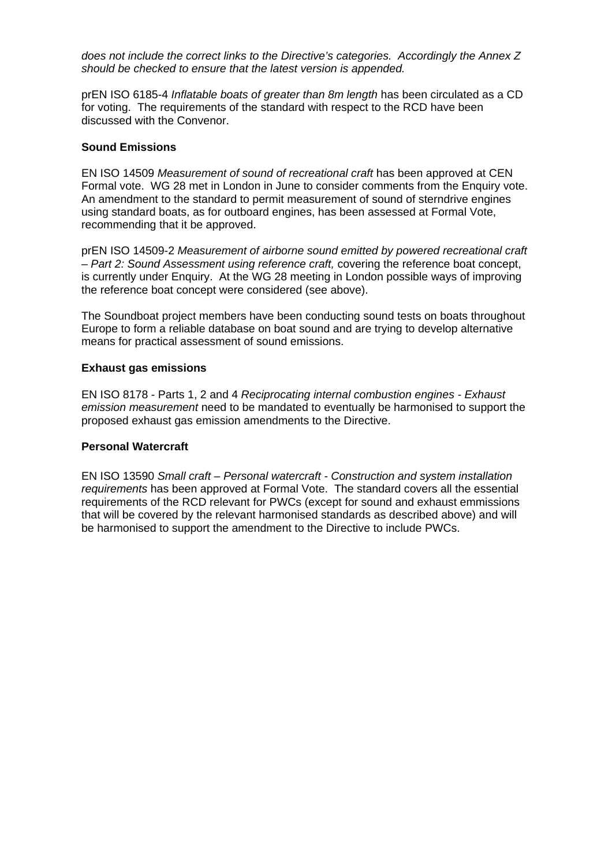*does not include the correct links to the Directive's categories. Accordingly the Annex Z should be checked to ensure that the latest version is appended.* 

prEN ISO 6185-4 *Inflatable boats of greater than 8m length* has been circulated as a CD for voting. The requirements of the standard with respect to the RCD have been discussed with the Convenor.

#### **Sound Emissions**

EN ISO 14509 *Measurement of sound of recreational craft* has been approved at CEN Formal vote. WG 28 met in London in June to consider comments from the Enquiry vote. An amendment to the standard to permit measurement of sound of sterndrive engines using standard boats, as for outboard engines, has been assessed at Formal Vote, recommending that it be approved.

prEN ISO 14509-2 *Measurement of airborne sound emitted by powered recreational craft – Part 2: Sound Assessment using reference craft,* covering the reference boat concept, is currently under Enquiry. At the WG 28 meeting in London possible ways of improving the reference boat concept were considered (see above).

The Soundboat project members have been conducting sound tests on boats throughout Europe to form a reliable database on boat sound and are trying to develop alternative means for practical assessment of sound emissions.

### **Exhaust gas emissions**

EN ISO 8178 - Parts 1, 2 and 4 *Reciprocating internal combustion engines - Exhaust emission measurement* need to be mandated to eventually be harmonised to support the proposed exhaust gas emission amendments to the Directive.

#### **Personal Watercraft**

EN ISO 13590 *Small craft – Personal watercraft - Construction and system installation requirements* has been approved at Formal Vote. The standard covers all the essential requirements of the RCD relevant for PWCs (except for sound and exhaust emmissions that will be covered by the relevant harmonised standards as described above) and will be harmonised to support the amendment to the Directive to include PWCs.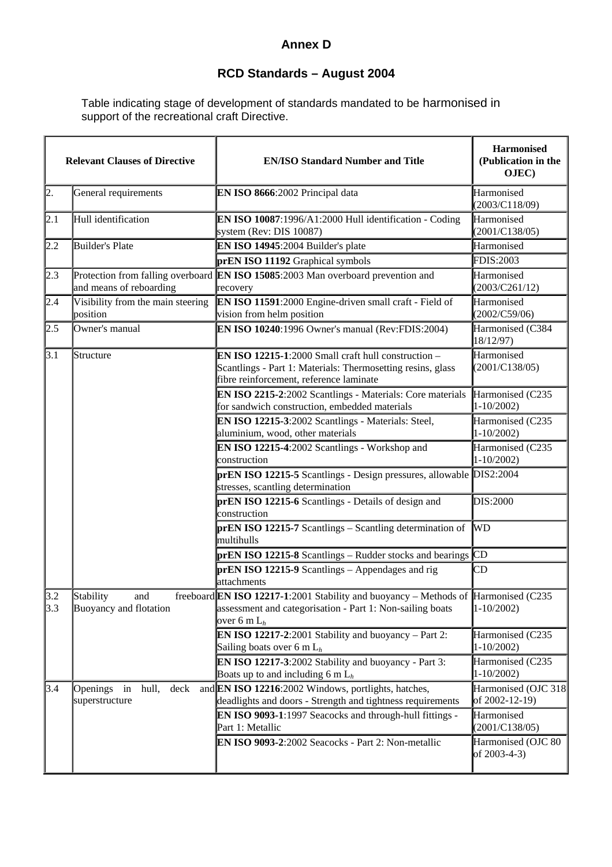## **Annex D**

## **RCD Standards – August 2004**

Table indicating stage of development of standards mandated to be harmonised in support of the recreational craft Directive.

|            | <b>Relevant Clauses of Directive</b>                         | <b>EN/ISO Standard Number and Title</b>                                                                                                                           | <b>Harmonised</b><br>(Publication in the<br>OJEC) |
|------------|--------------------------------------------------------------|-------------------------------------------------------------------------------------------------------------------------------------------------------------------|---------------------------------------------------|
| 2.         | General requirements                                         | EN ISO 8666:2002 Principal data                                                                                                                                   | Harmonised<br>(2003/C118/09)                      |
| 2.1        | Hull identification                                          | EN ISO 10087:1996/A1:2000 Hull identification - Coding<br>system (Rev: DIS 10087)                                                                                 | Harmonised<br>(2001/C138/05)                      |
| $2.2\,$    | Builder's Plate                                              | EN ISO 14945:2004 Builder's plate                                                                                                                                 | Harmonised                                        |
|            |                                                              | prEN ISO 11192 Graphical symbols                                                                                                                                  | <b>FDIS:2003</b>                                  |
| 2.3        | Protection from falling overboard<br>and means of reboarding | EN ISO 15085:2003 Man overboard prevention and<br>recovery                                                                                                        | Harmonised<br>(2003/C261/12)                      |
| 2.4        | Visibility from the main steering<br>position                | EN ISO 11591:2000 Engine-driven small craft - Field of<br>vision from helm position                                                                               | Harmonised<br>(2002/C59/06)                       |
| 2.5        | Owner's manual                                               | EN ISO 10240:1996 Owner's manual (Rev:FDIS:2004)                                                                                                                  | Harmonised (C384<br>18/12/97)                     |
| 3.1        | Structure                                                    | EN ISO 12215-1:2000 Small craft hull construction -<br>Scantlings - Part 1: Materials: Thermosetting resins, glass<br>fibre reinforcement, reference laminate     | Harmonised<br>(2001/C138/05)                      |
|            |                                                              | EN ISO 2215-2:2002 Scantlings - Materials: Core materials<br>for sandwich construction, embedded materials                                                        | Harmonised (C235<br>$1 - 10/2002$                 |
|            |                                                              | EN ISO 12215-3:2002 Scantlings - Materials: Steel,<br>aluminium, wood, other materials                                                                            | Harmonised (C235<br>$1 - 10/2002$                 |
|            |                                                              | EN ISO 12215-4:2002 Scantlings - Workshop and<br>construction                                                                                                     | Harmonised (C235<br>$1 - 10/2002$                 |
|            |                                                              | prEN ISO 12215-5 Scantlings - Design pressures, allowable DIS2:2004<br>stresses, scantling determination                                                          |                                                   |
|            |                                                              | prEN ISO 12215-6 Scantlings - Details of design and<br>construction                                                                                               | DIS:2000                                          |
|            |                                                              | prEN ISO 12215-7 Scantlings - Scantling determination of<br>multihulls                                                                                            | <b>WD</b>                                         |
|            |                                                              | $\bf{prEN}$ ISO 12215-8 Scantlings – Rudder stocks and bearings $\bf{CD}$                                                                                         |                                                   |
|            |                                                              | $prEN ISO 12215-9$ Scantlings – Appendages and rig<br>attachments                                                                                                 | CD                                                |
| 3.2<br>3.3 | Stability<br>and<br>Buoyancy and flotation                   | freeboard EN ISO 12217-1:2001 Stability and buoyancy - Methods of Harmonised (C235<br>assessment and categorisation - Part 1: Non-sailing boats<br>over 6 m $L_h$ | $1 - 10/2002$                                     |
|            |                                                              | <b>EN ISO 12217-2:2001 Stability and buoyancy</b> – Part 2:<br>Sailing boats over 6 m $L_h$                                                                       | Harmonised (C235<br>$1 - 10/2002$                 |
|            |                                                              | EN ISO 12217-3:2002 Stability and buoyancy - Part 3:<br>Boats up to and including 6 m $L_h$                                                                       | Harmonised (C235<br>$1 - 10/2002$                 |
| 3.4        | Openings<br>hull,<br>deck<br>in<br>superstructure            | and EN ISO 12216:2002 Windows, portlights, hatches,<br>deadlights and doors - Strength and tightness requirements                                                 | Harmonised (OJC 318<br>of 2002-12-19)             |
|            |                                                              | EN ISO 9093-1:1997 Seacocks and through-hull fittings -<br>Part 1: Metallic                                                                                       | Harmonised<br>(2001/C138/05)                      |
|            |                                                              | EN ISO 9093-2:2002 Seacocks - Part 2: Non-metallic                                                                                                                | Harmonised (OJC 80<br>of 2003-4-3)                |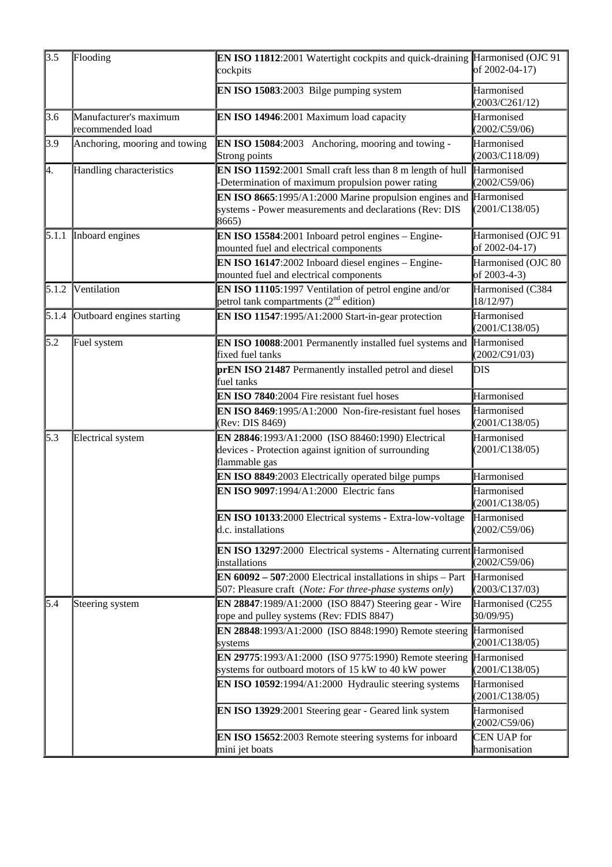| 3.5   | Flooding                                   | EN ISO 11812:2001 Watertight cockpits and quick-draining Harmonised (OJC 91<br>cockpits                                                               | of 2002-04-17)                       |
|-------|--------------------------------------------|-------------------------------------------------------------------------------------------------------------------------------------------------------|--------------------------------------|
|       |                                            | EN ISO 15083:2003 Bilge pumping system                                                                                                                | Harmonised<br>(2003/C261/12)         |
| 3.6   | Manufacturer's maximum<br>recommended load | EN ISO 14946:2001 Maximum load capacity                                                                                                               | Harmonised<br>(2002/C59/06)          |
| 3.9   | Anchoring, mooring and towing              | <b>EN ISO 15084:2003</b> Anchoring, mooring and towing -<br>Strong points                                                                             | Harmonised<br>(2003/C118/09)         |
| þ.    | Handling characteristics                   | <b>EN ISO 11592:</b> 2001 Small craft less than $8 \text{ m}$ length of hull $\text{Harmonised}$<br>-Determination of maximum propulsion power rating | (2002/C59/06)                        |
|       |                                            | <b>EN ISO 8665:</b> 1995/A1:2000 Marine propulsion engines and $\vert$ Harmonised<br>systems - Power measurements and declarations (Rev: DIS<br>8665) | (2001/C138/05)                       |
| 5.1.1 | Inboard engines                            | EN ISO 15584:2001 Inboard petrol engines - Engine-<br>mounted fuel and electrical components                                                          | Harmonised (OJC 91<br>of 2002-04-17) |
|       |                                            | EN ISO 16147:2002 Inboard diesel engines - Engine-<br>mounted fuel and electrical components                                                          | Harmonised (OJC 80<br>of 2003-4-3)   |
| 5.1.2 | Ventilation                                | EN ISO 11105:1997 Ventilation of petrol engine and/or<br>petrol tank compartments $(2nd$ edition)                                                     | Harmonised (C384<br>18/12/97)        |
| 5.1.4 | Outboard engines starting                  | EN ISO 11547:1995/A1:2000 Start-in-gear protection                                                                                                    | Harmonised<br>(2001/C138/05)         |
| 5.2   | Fuel system                                | EN ISO 10088:2001 Permanently installed fuel systems and<br>fixed fuel tanks                                                                          | Harmonised<br>(2002/C91/03)          |
|       |                                            | prEN ISO 21487 Permanently installed petrol and diesel<br>fuel tanks                                                                                  | DIS                                  |
|       |                                            | EN ISO 7840:2004 Fire resistant fuel hoses                                                                                                            | Harmonised                           |
|       |                                            | EN ISO 8469:1995/A1:2000 Non-fire-resistant fuel hoses<br>(Rev: DIS 8469)                                                                             | Harmonised<br>(2001/C138/05)         |
| 5.3   | Electrical system                          | EN 28846:1993/A1:2000 (ISO 88460:1990) Electrical<br>devices - Protection against ignition of surrounding<br>flammable gas                            | Harmonised<br>(2001/C138/05)         |
|       |                                            | EN ISO 8849:2003 Electrically operated bilge pumps                                                                                                    | Harmonised                           |
|       |                                            | EN ISO 9097:1994/A1:2000 Electric fans                                                                                                                | Harmonised<br>(2001/C138/05)         |
|       |                                            | EN ISO 10133:2000 Electrical systems - Extra-low-voltage<br>d.c. installations                                                                        | Harmonised<br>(2002/C59/06)          |
|       |                                            | <b>EN ISO 13297:2000</b> Electrical systems - Alternating current Harmonised<br>installations                                                         | (2002/C59/06)                        |
|       |                                            | <b>EN 60092 – 507</b> :2000 Electrical installations in ships – Part $\vert$ Harmonised<br>507: Pleasure craft (Note: For three-phase systems only)   | (2003/C137/03)                       |
| 5.4   | Steering system                            | EN 28847:1989/A1:2000 (ISO 8847) Steering gear - Wire<br>rope and pulley systems (Rev: FDIS 8847)                                                     | Harmonised (C255<br>30/09/95)        |
|       |                                            | EN 28848:1993/A1:2000 (ISO 8848:1990) Remote steering<br>systems                                                                                      | Harmonised<br>(2001/C138/05)         |
|       |                                            | EN 29775:1993/A1:2000 (ISO 9775:1990) Remote steering $Harmonised$<br>systems for outboard motors of 15 kW to 40 kW power                             | (2001/C138/05)                       |
|       |                                            | EN ISO 10592:1994/A1:2000 Hydraulic steering systems                                                                                                  | Harmonised<br>(2001/C138/05)         |
|       |                                            | EN ISO 13929:2001 Steering gear - Geared link system                                                                                                  | Harmonised<br>(2002/C59/06)          |
|       |                                            | EN ISO 15652:2003 Remote steering systems for inboard<br>mini jet boats                                                                               | <b>CEN UAP</b> for<br>harmonisation  |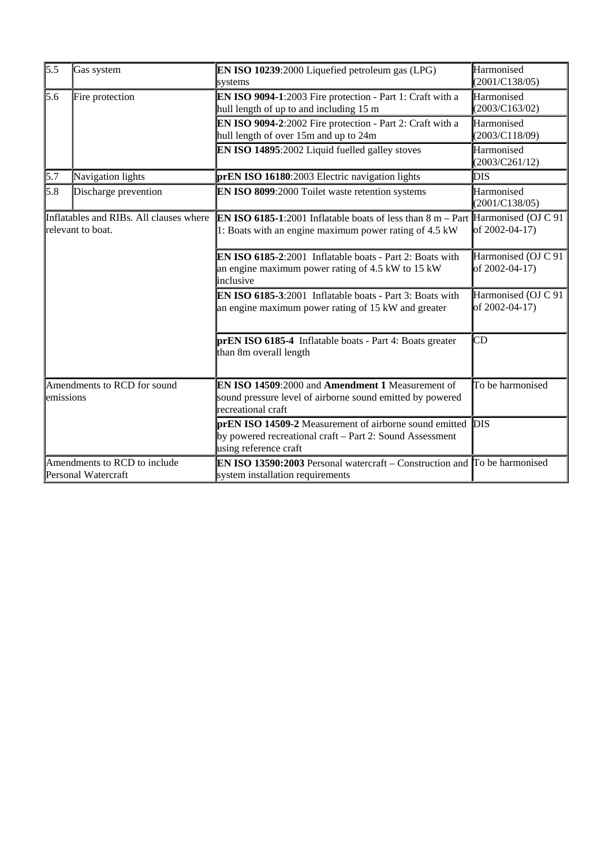| 5.5                                                          | Gas system        | <b>EN ISO 10239:2000 Liquefied petroleum gas (LPG)</b><br>systems                                                                                            | Harmonised<br>(2001/C138/05)          |
|--------------------------------------------------------------|-------------------|--------------------------------------------------------------------------------------------------------------------------------------------------------------|---------------------------------------|
| 5.6<br>Fire protection                                       |                   | EN ISO 9094-1:2003 Fire protection - Part 1: Craft with a<br>hull length of up to and including 15 m                                                         | Harmonised<br>(2003/C163/02)          |
|                                                              |                   | EN ISO 9094-2:2002 Fire protection - Part 2: Craft with a<br>hull length of over 15m and up to 24m                                                           | Harmonised<br>(2003/C118/09)          |
|                                                              |                   | EN ISO 14895:2002 Liquid fuelled galley stoves                                                                                                               | Harmonised<br>(2003/C261/12)          |
| 5.7                                                          | Navigation lights | prEN ISO 16180:2003 Electric navigation lights                                                                                                               | <b>DIS</b>                            |
| 5.8<br>Discharge prevention                                  |                   | EN ISO 8099:2000 Toilet waste retention systems                                                                                                              | Harmonised<br>(2001/C138/05)          |
| Inflatables and RIBs. All clauses where<br>relevant to boat. |                   | <b>EN ISO 6185-1:</b> 2001 Inflatable boats of less than $8 \text{ m}$ – Part Harmonised (OJ C 91)<br>1: Boats with an engine maximum power rating of 4.5 kW | of 2002-04-17)                        |
|                                                              |                   | EN ISO 6185-2:2001 Inflatable boats - Part 2: Boats with<br>an engine maximum power rating of 4.5 kW to 15 kW<br>inclusive                                   | Harmonised (OJ C 91<br>of 2002-04-17) |
|                                                              |                   | EN ISO 6185-3:2001 Inflatable boats - Part 3: Boats with<br>an engine maximum power rating of 15 kW and greater                                              | Harmonised (OJ C 91<br>of 2002-04-17) |
|                                                              |                   | prEN ISO 6185-4 Inflatable boats - Part 4: Boats greater<br>than 8m overall length                                                                           | CD                                    |
| Amendments to RCD for sound<br>emissions                     |                   | EN ISO 14509:2000 and Amendment 1 Measurement of<br>sound pressure level of airborne sound emitted by powered<br>recreational craft                          | To be harmonised                      |
|                                                              |                   | prEN ISO 14509-2 Measurement of airborne sound emitted DIS<br>by powered recreational craft - Part 2: Sound Assessment<br>using reference craft              |                                       |
| Amendments to RCD to include<br>Personal Watercraft          |                   | <b>EN ISO 13590:2003</b> Personal watercraft – Construction and $\overline{a}$ To be harmonised<br>system installation requirements                          |                                       |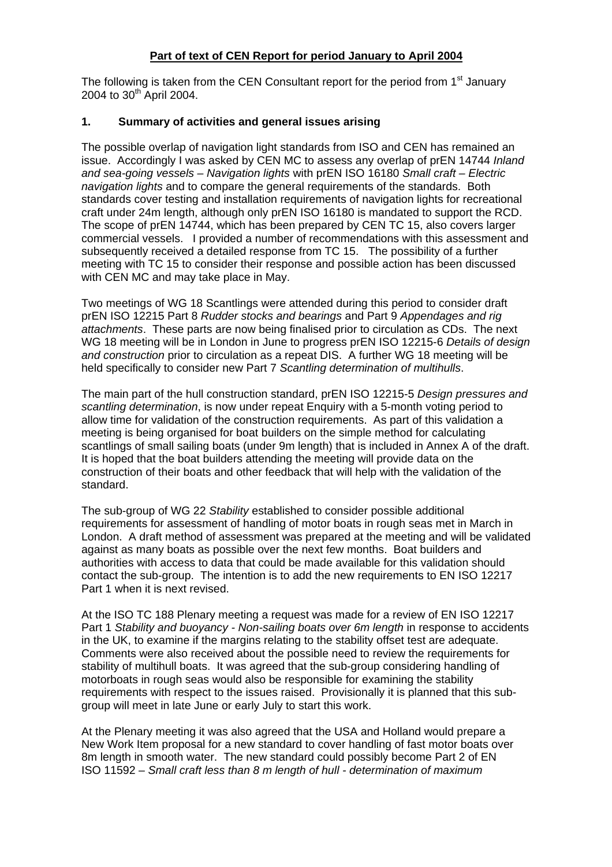### **Part of text of CEN Report for period January to April 2004**

The following is taken from the CEN Consultant report for the period from  $1<sup>st</sup>$  January 2004 to  $30^{th}$  April 2004.

### **1. Summary of activities and general issues arising**

The possible overlap of navigation light standards from ISO and CEN has remained an issue. Accordingly I was asked by CEN MC to assess any overlap of prEN 14744 *Inland and sea-going vessels – Navigation lights* with prEN ISO 16180 *Small craft – Electric navigation lights* and to compare the general requirements of the standards. Both standards cover testing and installation requirements of navigation lights for recreational craft under 24m length, although only prEN ISO 16180 is mandated to support the RCD. The scope of prEN 14744, which has been prepared by CEN TC 15, also covers larger commercial vessels. I provided a number of recommendations with this assessment and subsequently received a detailed response from TC 15. The possibility of a further meeting with TC 15 to consider their response and possible action has been discussed with CEN MC and may take place in May.

Two meetings of WG 18 Scantlings were attended during this period to consider draft prEN ISO 12215 Part 8 *Rudder stocks and bearings* and Part 9 *Appendages and rig attachments*. These parts are now being finalised prior to circulation as CDs. The next WG 18 meeting will be in London in June to progress prEN ISO 12215-6 *Details of design and construction* prior to circulation as a repeat DIS. A further WG 18 meeting will be held specifically to consider new Part 7 *Scantling determination of multihulls*.

The main part of the hull construction standard, prEN ISO 12215-5 *Design pressures and scantling determination*, is now under repeat Enquiry with a 5-month voting period to allow time for validation of the construction requirements. As part of this validation a meeting is being organised for boat builders on the simple method for calculating scantlings of small sailing boats (under 9m length) that is included in Annex A of the draft. It is hoped that the boat builders attending the meeting will provide data on the construction of their boats and other feedback that will help with the validation of the standard.

The sub-group of WG 22 *Stability* established to consider possible additional requirements for assessment of handling of motor boats in rough seas met in March in London. A draft method of assessment was prepared at the meeting and will be validated against as many boats as possible over the next few months. Boat builders and authorities with access to data that could be made available for this validation should contact the sub-group. The intention is to add the new requirements to EN ISO 12217 Part 1 when it is next revised.

At the ISO TC 188 Plenary meeting a request was made for a review of EN ISO 12217 Part 1 *Stability and buoyancy - Non-sailing boats over 6m length* in response to accidents in the UK, to examine if the margins relating to the stability offset test are adequate. Comments were also received about the possible need to review the requirements for stability of multihull boats. It was agreed that the sub-group considering handling of motorboats in rough seas would also be responsible for examining the stability requirements with respect to the issues raised. Provisionally it is planned that this subgroup will meet in late June or early July to start this work.

At the Plenary meeting it was also agreed that the USA and Holland would prepare a New Work Item proposal for a new standard to cover handling of fast motor boats over 8m length in smooth water. The new standard could possibly become Part 2 of EN ISO 11592 – *Small craft less than 8 m length of hull - determination of maximum*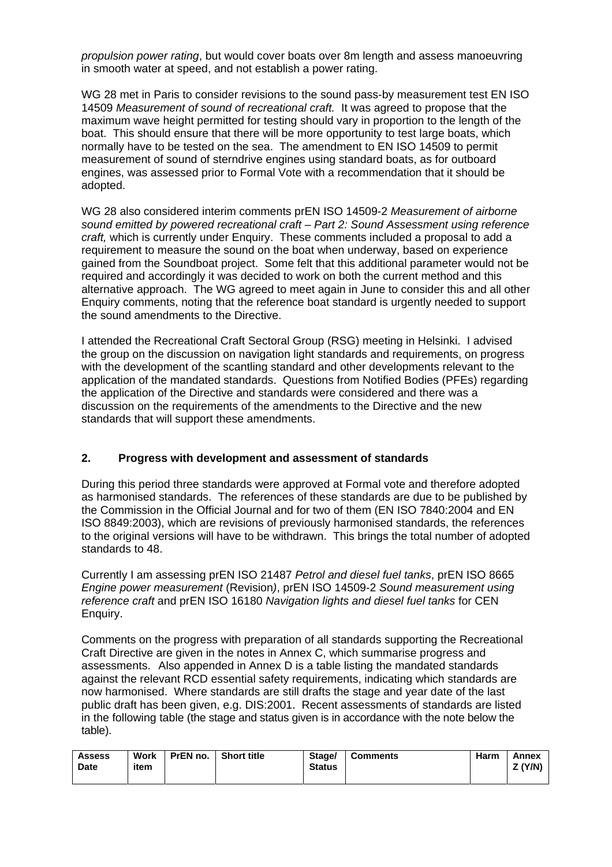*propulsion power rating*, but would cover boats over 8m length and assess manoeuvring in smooth water at speed, and not establish a power rating.

WG 28 met in Paris to consider revisions to the sound pass-by measurement test EN ISO 14509 *Measurement of sound of recreational craft.* It was agreed to propose that the maximum wave height permitted for testing should vary in proportion to the length of the boat. This should ensure that there will be more opportunity to test large boats, which normally have to be tested on the sea. The amendment to EN ISO 14509 to permit measurement of sound of sterndrive engines using standard boats, as for outboard engines, was assessed prior to Formal Vote with a recommendation that it should be adopted.

WG 28 also considered interim comments prEN ISO 14509-2 *Measurement of airborne sound emitted by powered recreational craft – Part 2: Sound Assessment using reference craft,* which is currently under Enquiry. These comments included a proposal to add a requirement to measure the sound on the boat when underway, based on experience gained from the Soundboat project. Some felt that this additional parameter would not be required and accordingly it was decided to work on both the current method and this alternative approach. The WG agreed to meet again in June to consider this and all other Enquiry comments, noting that the reference boat standard is urgently needed to support the sound amendments to the Directive.

I attended the Recreational Craft Sectoral Group (RSG) meeting in Helsinki. I advised the group on the discussion on navigation light standards and requirements, on progress with the development of the scantling standard and other developments relevant to the application of the mandated standards. Questions from Notified Bodies (PFEs) regarding the application of the Directive and standards were considered and there was a discussion on the requirements of the amendments to the Directive and the new standards that will support these amendments.

### **2. Progress with development and assessment of standards**

During this period three standards were approved at Formal vote and therefore adopted as harmonised standards. The references of these standards are due to be published by the Commission in the Official Journal and for two of them (EN ISO 7840:2004 and EN ISO 8849:2003), which are revisions of previously harmonised standards, the references to the original versions will have to be withdrawn. This brings the total number of adopted standards to 48.

Currently I am assessing prEN ISO 21487 *Petrol and diesel fuel tanks*, prEN ISO 8665 *Engine power measurement* (Revision*)*, prEN ISO 14509-2 *Sound measurement using reference craft* and prEN ISO 16180 *Navigation lights and diesel fuel tanks* for CEN Enquiry.

Comments on the progress with preparation of all standards supporting the Recreational Craft Directive are given in the notes in Annex C, which summarise progress and assessments. Also appended in Annex D is a table listing the mandated standards against the relevant RCD essential safety requirements, indicating which standards are now harmonised. Where standards are still drafts the stage and year date of the last public draft has been given, e.g. DIS:2001. Recent assessments of standards are listed in the following table (the stage and status given is in accordance with the note below the table).

| <b>Assess</b><br>Date | Work<br>item | PrEN no. | <b>Short title</b> | Stage/<br><b>Status</b> | <b>Comments</b> | Harm | Annex<br>Z (Y/N) |
|-----------------------|--------------|----------|--------------------|-------------------------|-----------------|------|------------------|
|                       |              |          |                    |                         |                 |      |                  |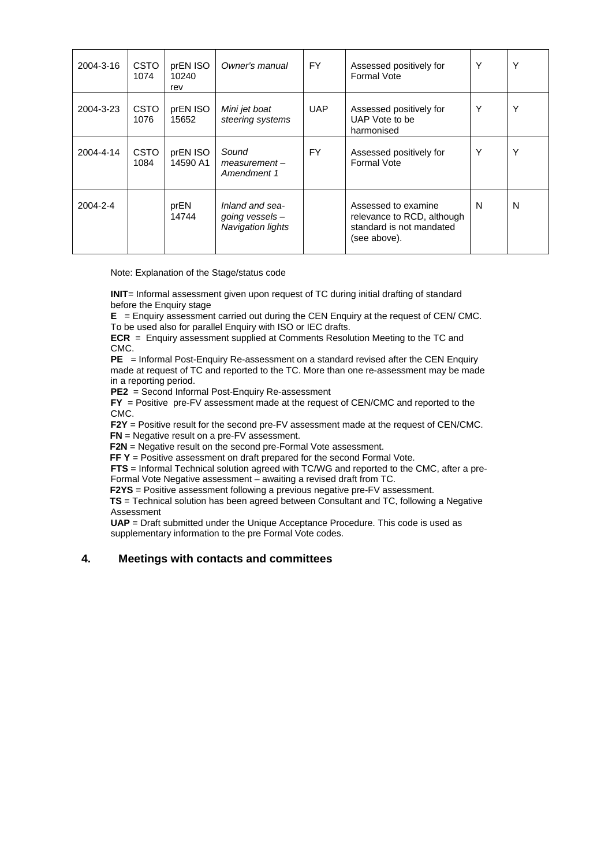| 2004-3-16 | <b>CSTO</b><br>1074 | prEN ISO<br>10240<br>rev | Owner's manual                                                   | FY.        | Assessed positively for<br>Formal Vote                                                        | Υ | Υ |
|-----------|---------------------|--------------------------|------------------------------------------------------------------|------------|-----------------------------------------------------------------------------------------------|---|---|
| 2004-3-23 | <b>CSTO</b><br>1076 | prEN ISO<br>15652        | Mini jet boat<br>steering systems                                | <b>UAP</b> | Assessed positively for<br>UAP Vote to be<br>harmonised                                       | Y | Y |
| 2004-4-14 | <b>CSTO</b><br>1084 | prEN ISO<br>14590 A1     | Sound<br>$measurement -$<br>Amendment 1                          | FY.        | Assessed positively for<br>Formal Vote                                                        | Y | Υ |
| 2004-2-4  |                     | prEN<br>14744            | Inland and sea-<br>going vessels $-$<br><b>Navigation lights</b> |            | Assessed to examine<br>relevance to RCD, although<br>standard is not mandated<br>(see above). | N | N |

Note: Explanation of the Stage/status code

**INIT**= Informal assessment given upon request of TC during initial drafting of standard before the Enquiry stage

**E** = Enquiry assessment carried out during the CEN Enquiry at the request of CEN/ CMC. To be used also for parallel Enquiry with ISO or IEC drafts.

**ECR** = Enquiry assessment supplied at Comments Resolution Meeting to the TC and CMC.

**PE** = Informal Post-Enquiry Re-assessment on a standard revised after the CEN Enquiry made at request of TC and reported to the TC. More than one re-assessment may be made in a reporting period.

**PE2** = Second Informal Post-Enquiry Re-assessment

**FY** = Positive pre-FV assessment made at the request of CEN/CMC and reported to the CMC.

**F2Y** = Positive result for the second pre-FV assessment made at the request of CEN/CMC. **FN** = Negative result on a pre-FV assessment.

**F2N** = Negative result on the second pre-Formal Vote assessment.

**FF Y** = Positive assessment on draft prepared for the second Formal Vote.

**FTS** = Informal Technical solution agreed with TC/WG and reported to the CMC, after a pre-

Formal Vote Negative assessment – awaiting a revised draft from TC.

**F2YS** = Positive assessment following a previous negative pre-FV assessment.

 **TS** = Technical solution has been agreed between Consultant and TC, following a Negative Assessment

**UAP** = Draft submitted under the Unique Acceptance Procedure. This code is used as supplementary information to the pre Formal Vote codes.

#### **4. Meetings with contacts and committees**